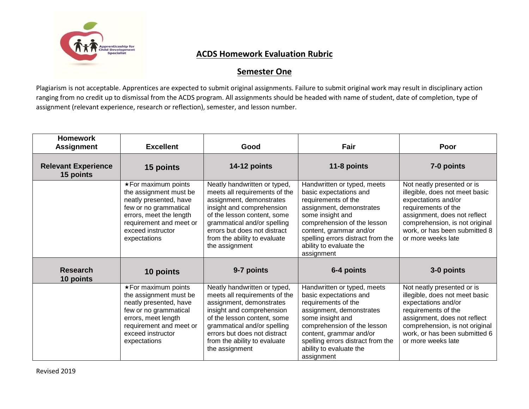

## **ACDS Homework Evaluation Rubric**

## **Semester One**

Plagiarism is not acceptable. Apprentices are expected to submit original assignments. Failure to submit original work may result in disciplinary action ranging from no credit up to dismissal from the ACDS program. All assignments should be headed with name of student, date of completion, type of assignment (relevant experience, research or reflection), semester, and lesson number.

| <b>Homework</b><br><b>Assignment</b>    | <b>Excellent</b>                                                                                                                                                                                   | Good                                                                                                                                                                                                                                                                   | Fair                                                                                                                                                                                                                                                                 | Poor                                                                                                                                                                                                                                |
|-----------------------------------------|----------------------------------------------------------------------------------------------------------------------------------------------------------------------------------------------------|------------------------------------------------------------------------------------------------------------------------------------------------------------------------------------------------------------------------------------------------------------------------|----------------------------------------------------------------------------------------------------------------------------------------------------------------------------------------------------------------------------------------------------------------------|-------------------------------------------------------------------------------------------------------------------------------------------------------------------------------------------------------------------------------------|
| <b>Relevant Experience</b><br>15 points | 15 points                                                                                                                                                                                          | 14-12 points                                                                                                                                                                                                                                                           | 11-8 points                                                                                                                                                                                                                                                          | 7-0 points                                                                                                                                                                                                                          |
|                                         | $\star$ For maximum points<br>the assignment must be<br>neatly presented, have<br>few or no grammatical<br>errors, meet the length<br>requirement and meet or<br>exceed instructor<br>expectations | Neatly handwritten or typed,<br>meets all requirements of the<br>assignment, demonstrates<br>insight and comprehension<br>of the lesson content, some<br>grammatical and/or spelling<br>errors but does not distract<br>from the ability to evaluate<br>the assignment | Handwritten or typed, meets<br>basic expectations and<br>requirements of the<br>assignment, demonstrates<br>some insight and<br>comprehension of the lesson<br>content, grammar and/or<br>spelling errors distract from the<br>ability to evaluate the<br>assignment | Not neatly presented or is<br>illegible, does not meet basic<br>expectations and/or<br>requirements of the<br>assignment, does not reflect<br>comprehension, is not original<br>work, or has been submitted 8<br>or more weeks late |
| <b>Research</b><br>10 points            | 10 points                                                                                                                                                                                          | 9-7 points                                                                                                                                                                                                                                                             | 6-4 points                                                                                                                                                                                                                                                           | 3-0 points                                                                                                                                                                                                                          |
|                                         | $\star$ For maximum points<br>the assignment must be<br>neatly presented, have<br>few or no grammatical<br>errors, meet length<br>requirement and meet or<br>exceed instructor<br>expectations     | Neatly handwritten or typed,<br>meets all requirements of the<br>assignment, demonstrates<br>insight and comprehension<br>of the lesson content, some<br>grammatical and/or spelling<br>errors but does not distract<br>from the ability to evaluate<br>the assignment | Handwritten or typed, meets<br>basic expectations and<br>requirements of the<br>assignment, demonstrates<br>some insight and<br>comprehension of the lesson<br>content, grammar and/or<br>spelling errors distract from the<br>ability to evaluate the<br>assignment | Not neatly presented or is<br>illegible, does not meet basic<br>expectations and/or<br>requirements of the<br>assignment, does not reflect<br>comprehension, is not original<br>work, or has been submitted 6<br>or more weeks late |